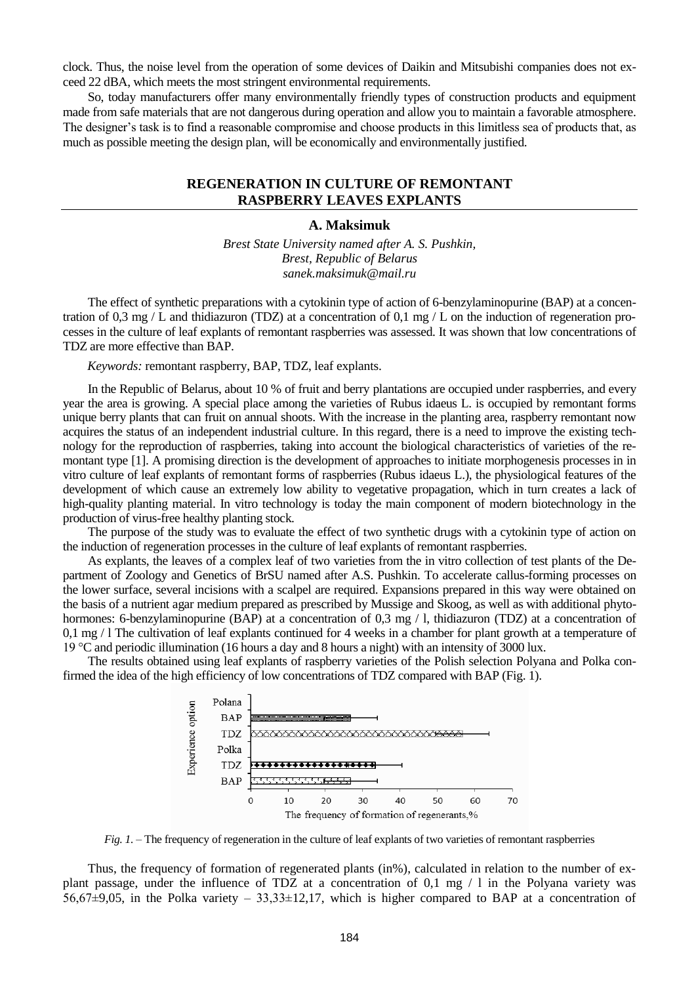clock. Thus, the noise level from the operation of some devices of Daikin and Mitsubishi companies does not exceed 22 dBA, which meets the most stringent environmental requirements.

So, today manufacturers offer many environmentally friendly types of construction products and equipment made from safe materials that are not dangerous during operation and allow you to maintain a favorable atmosphere. The designer's task is to find a reasonable compromise and choose products in this limitless sea of products that, as much as possible meeting the design plan, will be economically and environmentally justified.

## **REGENERATION IN CULTURE OF REMONTANT RASPBERRY LEAVES EXPLANTS**

#### **A. Maksimuk**

*Brest State University named after A. S. Pushkin, Brest, Republic of Belarus sanek.maksimuk@mail.ru*

The effect of synthetic preparations with a cytokinin type of action of 6-benzylaminopurine (BAP) at a concentration of 0,3 mg / L and thidiazuron (TDZ) at a concentration of 0,1 mg / L on the induction of regeneration processes in the culture of leaf explants of remontant raspberries was assessed. It was shown that low concentrations of TDZ are more effective than BAP.

*Keywords:* remontant raspberry, BAP, TDZ, leaf explants.

In the Republic of Belarus, about 10 % of fruit and berry plantations are occupied under raspberries, and every year the area is growing. A special place among the varieties of Rubus idaeus L. is occupied by remontant forms unique berry plants that can fruit on annual shoots. With the increase in the planting area, raspberry remontant now acquires the status of an independent industrial culture. In this regard, there is a need to improve the existing technology for the reproduction of raspberries, taking into account the biological characteristics of varieties of the remontant type [1]. A promising direction is the development of approaches to initiate morphogenesis processes in in vitro culture of leaf explants of remontant forms of raspberries (Rubus idaeus L.), the physiological features of the development of which cause an extremely low ability to vegetative propagation, which in turn creates a lack of high-quality planting material. In vitro technology is today the main component of modern biotechnology in the production of virus-free healthy planting stock.

The purpose of the study was to evaluate the effect of two synthetic drugs with a cytokinin type of action on the induction of regeneration processes in the culture of leaf explants of remontant raspberries.

As explants, the leaves of a complex leaf of two varieties from the in vitro collection of test plants of the Department of Zoology and Genetics of BrSU named after A.S. Pushkin. To accelerate callus-forming processes on the lower surface, several incisions with a scalpel are required. Expansions prepared in this way were obtained on the basis of a nutrient agar medium prepared as prescribed by Mussige and Skoog, as well as with additional phytohormones: 6-benzylaminopurine (BAP) at a concentration of 0,3 mg / l, thidiazuron (TDZ) at a concentration of 0,1 mg / l The cultivation of leaf explants continued for 4 weeks in a chamber for plant growth at a temperature of 19 °C and periodic illumination (16 hours a day and 8 hours a night) with an intensity of 3000 lux.

The results obtained using leaf explants of raspberry varieties of the Polish selection Polyana and Polka confirmed the idea of the high efficiency of low concentrations of TDZ compared with BAP (Fig. 1).



*Fig. 1.* – The frequency of regeneration in the culture of leaf explants of two varieties of remontant raspberries

Thus, the frequency of formation of regenerated plants (in%), calculated in relation to the number of explant passage, under the influence of TDZ at a concentration of 0,1 mg / l in the Polyana variety was 56,67 $\pm$ 9,05, in the Polka variety – 33,33 $\pm$ 12,17, which is higher compared to BAP at a concentration of